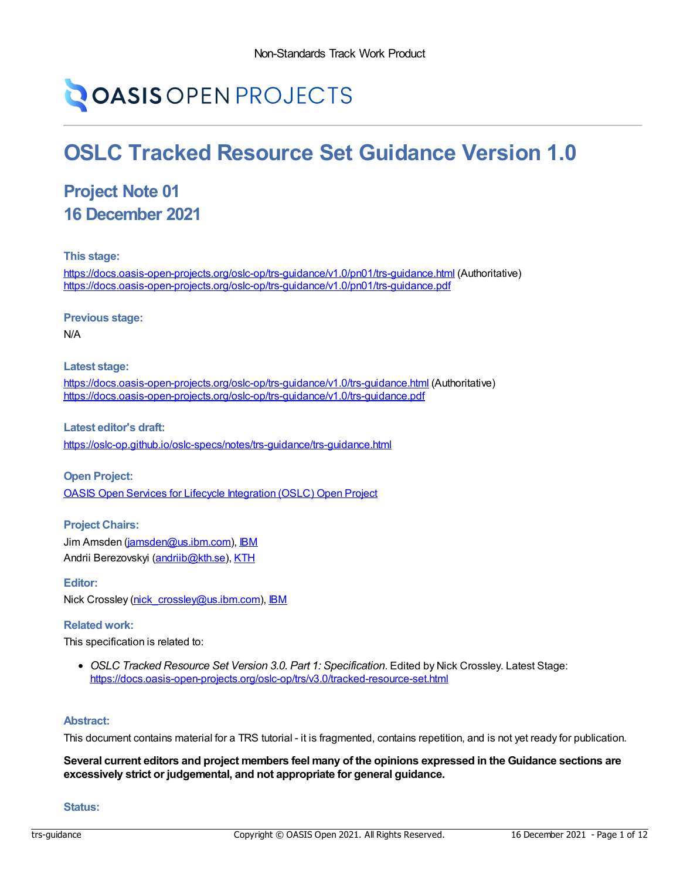# **OASIS OPEN PROJECTS**

# **OSLC Tracked Resource Set Guidance Version 1.0**

# **Project Note 01 16 December 2021**

**This stage:**

<https://docs.oasis-open-projects.org/oslc-op/trs-guidance/v1.0/pn01/trs-guidance.html> (Authoritative) <https://docs.oasis-open-projects.org/oslc-op/trs-guidance/v1.0/pn01/trs-guidance.pdf>

**Previous stage:**

N/A

**Latest stage:**

<https://docs.oasis-open-projects.org/oslc-op/trs-guidance/v1.0/trs-guidance.html> (Authoritative) <https://docs.oasis-open-projects.org/oslc-op/trs-guidance/v1.0/trs-guidance.pdf>

**Latest editor's draft:** <https://oslc-op.github.io/oslc-specs/notes/trs-guidance/trs-guidance.html>

**Open Project:** OASIS Open Services for Lifecycle [Integration](https://open-services.net/about/) (OSLC) Open Project

**Project Chairs:** Jim Amsden [\(jamsden@us.ibm.com\)](mailto:jamsden@us.ibm.com), [IBM](http://www.ibm.com/) Andrii Berezovskyi [\(andriib@kth.se](mailto:andriib@kth.se)), [KTH](https://www.kth.se/en)

**Editor:** Nick Crossley [\(nick\\_crossley@us.ibm.com](mailto:nick_crossley@us.ibm.com)), [IBM](http://www.ibm.com)

#### **Related work:**

This specification is related to:

*OSLC Tracked Resource Set Version 3.0. Part 1: Specification*. Edited by Nick Crossley. Latest Stage: <https://docs.oasis-open-projects.org/oslc-op/trs/v3.0/tracked-resource-set.html>

#### **Abstract:**

This document contains material for a TRS tutorial - it is fragmented, contains repetition, and is not yet ready for publication.

Several current editors and project members feel many of the opinions expressed in the Guidance sections are **excessively strict or judgemental, and not appropriate for general guidance.**

#### **Status:**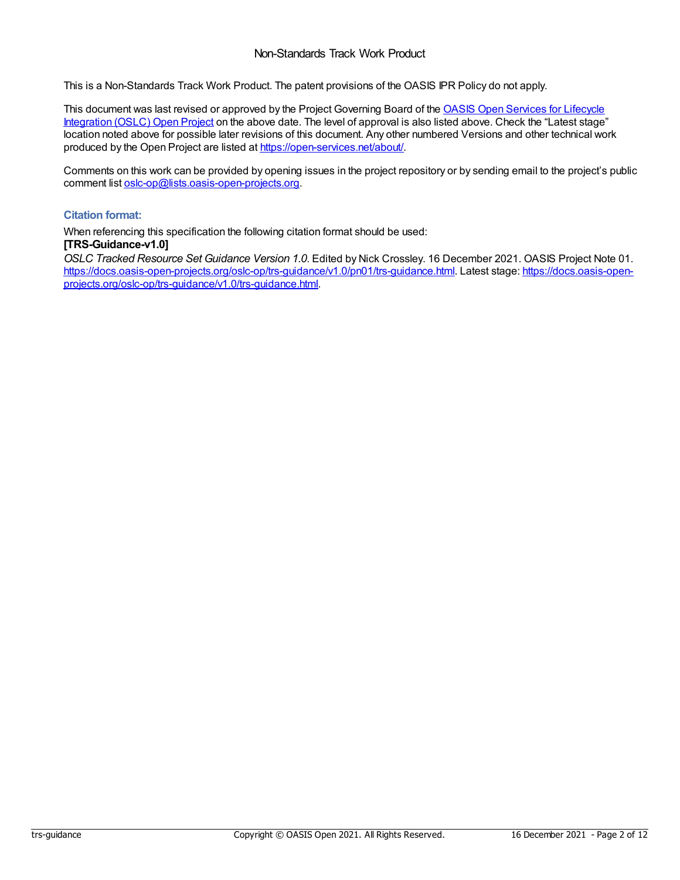This is a Non-Standards Track Work Product. The patent provisions of the OASIS IPR Policy do not apply.

This document was last revised or approved by the Project [Governing](https://open-services.net/about/) Board of the **OASIS Open Services for Lifecycle** Integration (OSLC) Open Project on the above date. The level of approval is also listed above. Check the "Latest stage" location noted above for possible later revisions of this document. Any other numbered Versions and other technical work produced by the Open Project are listed at <https://open-services.net/about/>.

Comments on this work can be provided by opening issues in the project repository or by sending email to the project's public comment list [oslc-op@lists.oasis-open-projects.org](mailto:oslc-op@lists.oasis-open-projects.org).

#### **Citation format:**

When referencing this specification the following citation format should be used: **[TRS-Guidance-v1.0]**

*OSLC Tracked Resource Set Guidance Version 1.0*. Edited by Nick Crossley. 16 December 2021. OASIS Project Note 01. [https://docs.oasis-open-projects.org/oslc-op/trs-guidance/v1.0/pn01/trs-guidance.html.](https://docs.oasis-open-projects.org/oslc-op/trs-guidance/v1.0/trs-guidance.html) Latest stage: https://docs.oasis-openprojects.org/oslc-op/trs-guidance/v1.0/trs-guidance.html.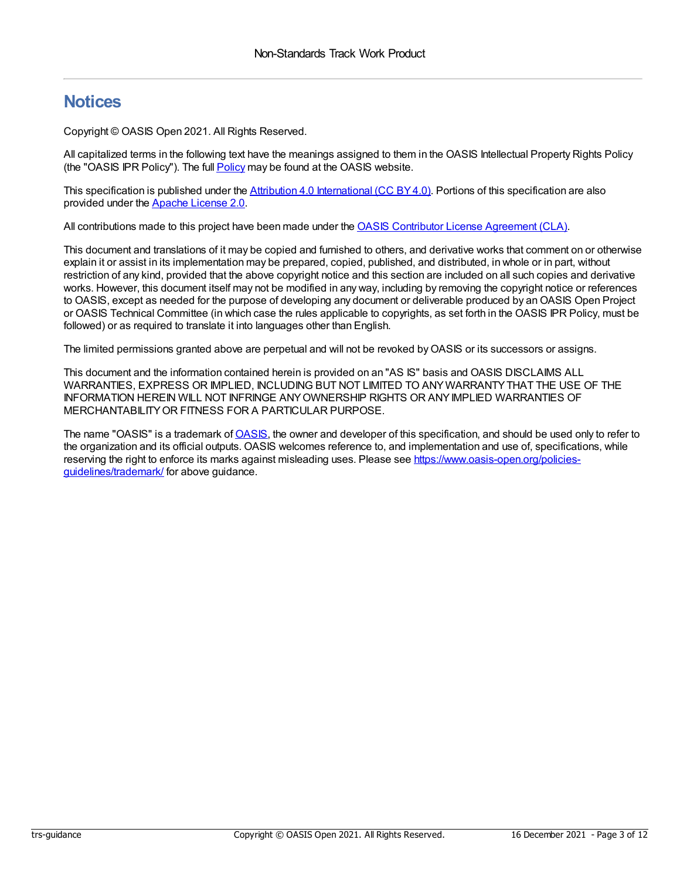### **Notices**

Copyright © OASIS Open 2021. All Rights Reserved.

All capitalized terms in the following text have the meanings assigned to them in the OASIS Intellectual Property Rights Policy (the "OASIS IPR Policy"). The full [Policy](https://www.oasis-open.org/policies-guidelines/ipr/) may be found at the OASIS website.

This specification is published under the Attribution 4.0 [International](https://creativecommons.org/licenses/by/4.0/legalcode) (CC BY4.0). Portions of this specification are also provided under the Apache [License](https://www.apache.org/licenses/LICENSE-2.0) 2.0.

All contributions made to this project have been made under the OASIS Contributor License [Agreement](https://www.oasis-open.org/policies-guidelines/open-projects-process/#individual-cla-exhibit) (CLA).

This document and translations of it may be copied and furnished to others, and derivative works that comment on or otherwise explain it or assist in its implementation may be prepared, copied, published, and distributed, in whole or in part, without restriction of any kind, provided that the above copyright notice and this section are included on all such copies and derivative works. However, this document itself may not be modified in any way, including by removing the copyright notice or references to OASIS, except as needed for the purpose of developing any document or deliverable produced by an OASIS Open Project or OASIS Technical Committee (in which case the rules applicable to copyrights, as set forth in the OASIS IPR Policy, must be followed) or as required to translate it into languages other than English.

The limited permissions granted above are perpetual and will not be revoked byOASIS or its successors or assigns.

This document and the information contained herein is provided on an "AS IS" basis and OASIS DISCLAIMS ALL WARRANTIES, EXPRESS OR IMPLIED, INCLUDING BUT NOT LIMITED TO ANYWARRANTYTHAT THE USE OF THE INFORMATION HEREIN WILL NOT INFRINGE ANYOWNERSHIP RIGHTS OR ANYIMPLIED WARRANTIES OF MERCHANTABILITYOR FITNESS FOR A PARTICULAR PURPOSE.

The name "OASIS" is a trademark of [OASIS](https://www.oasis-open.org/), the owner and developer of this specification, and should be used only to refer to the organization and its official outputs. OASIS welcomes reference to, and implementation and use of, specifications, while reserving the right to enforce its marks against misleading uses. Please see [https://www.oasis-open.org/policies](https://www.oasis-open.org/policies-guidelines/trademark/)guidelines/trademark/ for above guidance.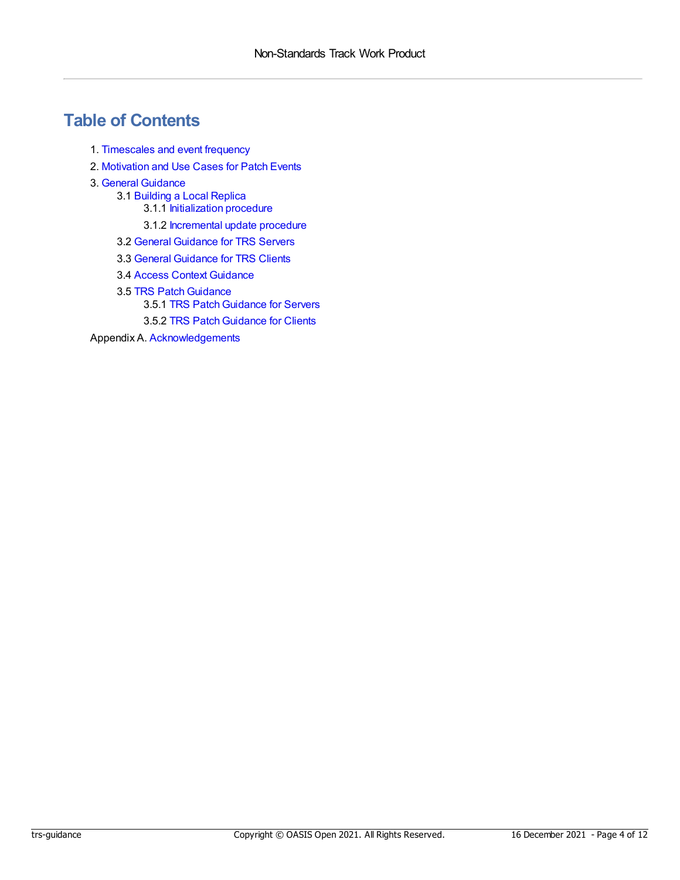### **Table of Contents**

- 1. [Timescales](#page-4-0) and event frequency
- 2. [Motivation](#page-5-0) and Use Cases for Patch Events
- 3. General [Guidance](#page-8-0)
	- 3.1 [Building](#page-6-0) a Local Replica
		- 3.1.1 [Initialization](#page-6-1) procedure
		- 3.1.2 [Incremental](#page-6-2) update procedure
	- 3.2 General [Guidance](#page-7-0) for TRS Servers
	- 3.3 General [Guidance](#page-8-1) for TRS Clients
	- 3.4 Access Context [Guidance](#page-9-0)
	- 3.5 TRS Patch Guidance 3.5.1 TRS Patch Guidance for Servers
		- 3.5.2 TRS Patch Guidance for Clients

Appendix A. [Acknowledgements](#page-11-0)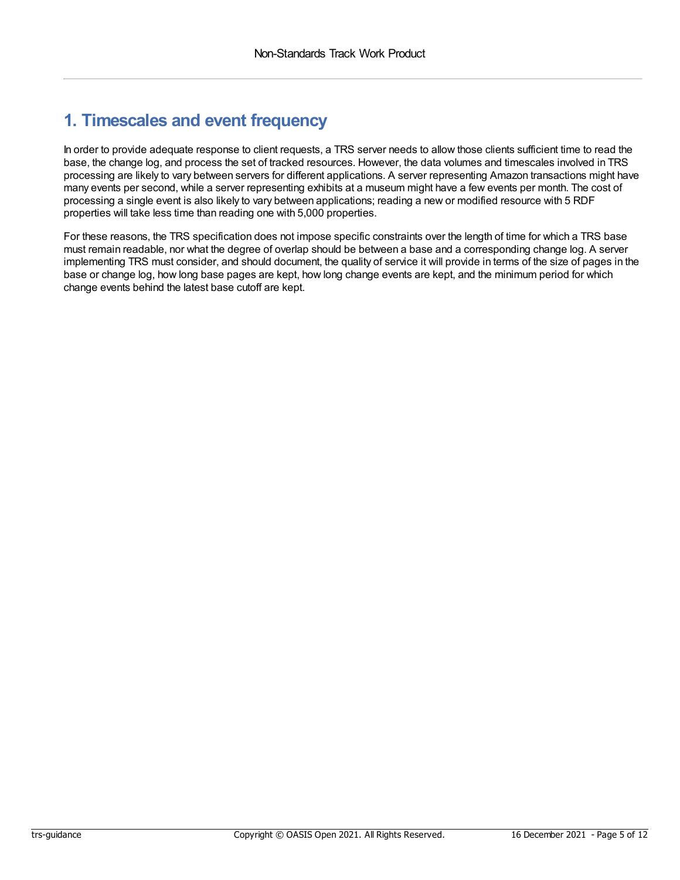## <span id="page-4-0"></span>**1. Timescales and event frequency**

In order to provide adequate response to client requests, a TRS server needs to allow those clients sufficient time to read the base, the change log, and process the set of tracked resources. However, the data volumes and timescales involved in TRS processing are likely to vary between servers for different applications. A server representing Amazon transactions might have many events per second, while a server representing exhibits at a museum might have a few events per month. The cost of processing a single event is also likely to vary between applications; reading a new or modified resource with 5 RDF properties will take less time than reading one with 5,000 properties.

For these reasons, the TRS specification does not impose specific constraints over the length of time for which a TRS base must remain readable, nor what the degree of overlap should be between a base and a corresponding change log. A server implementing TRS must consider, and should document, the quality of service it will provide in terms of the size of pages in the base or change log, how long base pages are kept, how long change events are kept, and the minimum period for which change events behind the latest base cutoff are kept.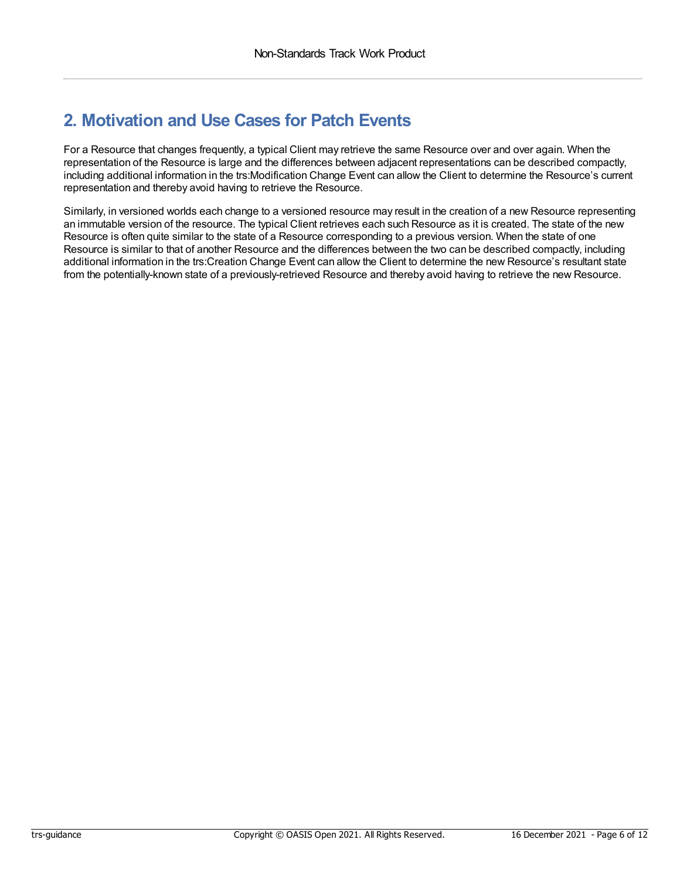# <span id="page-5-0"></span>**2. Motivation and Use Cases for Patch Events**

For a Resource that changes frequently, a typical Client may retrieve the same Resource over and over again. When the representation of the Resource is large and the differences between adjacent representations can be described compactly, including additional information in the trs:Modification Change Event can allow the Client to determine the Resource's current representation and thereby avoid having to retrieve the Resource.

Similarly, in versioned worlds each change to a versioned resource may result in the creation of a new Resource representing an immutable version of the resource. The typical Client retrieves each such Resource as it is created. The state of the new Resource is often quite similar to the state of a Resource corresponding to a previous version. When the state of one Resource is similar to that of another Resource and the differences between the two can be described compactly, including additional information in the trs:Creation Change Event can allow the Client to determine the new Resource's resultant state from the potentially-known state of a previously-retrieved Resource and thereby avoid having to retrieve the new Resource.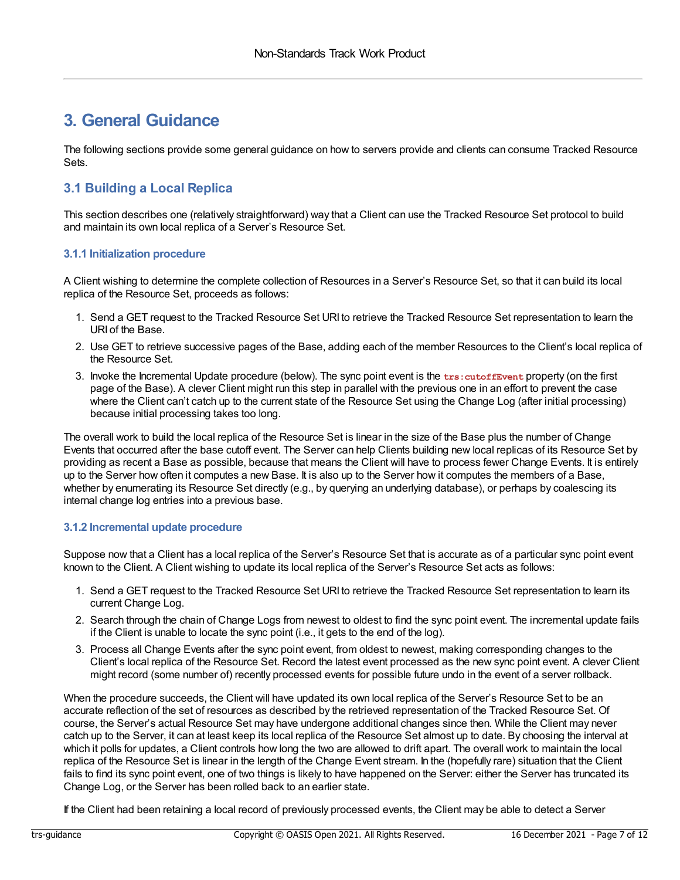### **3. General Guidance**

The following sections provide some general guidance on how to servers provide and clients can consume Tracked Resource Sets.

### <span id="page-6-0"></span>**3.1 Building a Local Replica**

This section describes one (relatively straightforward) way that a Client can use the Tracked Resource Set protocol to build and maintain its own local replica of a Server's Resource Set.

#### <span id="page-6-1"></span>**3.1.1 Initialization procedure**

A Client wishing to determine the complete collection of Resources in a Server's Resource Set, so that it can build its local replica of the Resource Set, proceeds as follows:

- 1. Send a GET request to the Tracked Resource Set URI to retrieve the Tracked Resource Set representation to learn the URI of the Base.
- 2. Use GET to retrieve successive pages of the Base, adding each of the member Resources to the Client's local replica of the Resource Set.
- 3. Invoke the Incremental Update procedure (below). The sync point event is the **trs:cutoffEvent** property (on the first page of the Base). A clever Client might run this step in parallel with the previous one in an effort to prevent the case where the Client can't catch up to the current state of the Resource Set using the Change Log (after initial processing) because initial processing takes too long.

The overall work to build the local replica of the Resource Set is linear in the size of the Base plus the number of Change Events that occurred after the base cutoff event. The Server can help Clients building new local replicas of its Resource Set by providing as recent a Base as possible, because that means the Client will have to process fewer Change Events. It is entirely up to the Server how often it computes a new Base. It is also up to the Server how it computes the members of a Base, whether by enumerating its Resource Set directly (e.g., by querying an underlying database), or perhaps by coalescing its internal change log entries into a previous base.

#### <span id="page-6-2"></span>**3.1.2 Incremental update procedure**

Suppose now that a Client has a local replica of the Server's Resource Set that is accurate as of a particular sync point event known to the Client. A Client wishing to update its local replica of the Server's Resource Set acts as follows:

- 1. Send a GET request to the Tracked Resource Set URI to retrieve the Tracked Resource Set representation to learn its current Change Log.
- 2. Search through the chain of Change Logs from newest to oldest to find the sync point event. The incremental update fails if the Client is unable to locate the sync point (i.e., it gets to the end of the log).
- 3. Process all Change Events after the sync point event, from oldest to newest, making corresponding changes to the Client's local replica of the Resource Set. Record the latest event processed as the new sync point event. A clever Client might record (some number of) recently processed events for possible future undo in the event of a server rollback.

When the procedure succeeds, the Client will have updated its own local replica of the Server's Resource Set to be an accurate reflection of the set of resources as described by the retrieved representation of the Tracked Resource Set. Of course, the Server's actual Resource Set may have undergone additional changes since then. While the Client may never catch up to the Server, it can at least keep its local replica of the Resource Set almost up to date. By choosing the interval at which it polls for updates, a Client controls how long the two are allowed to drift apart. The overall work to maintain the local replica of the Resource Set is linear in the length of the Change Event stream. In the (hopefully rare) situation that the Client fails to find its sync point event, one of two things is likely to have happened on the Server: either the Server has truncated its Change Log, or the Server has been rolled back to an earlier state.

If the Client had been retaining a local record of previously processed events, the Client may be able to detect a Server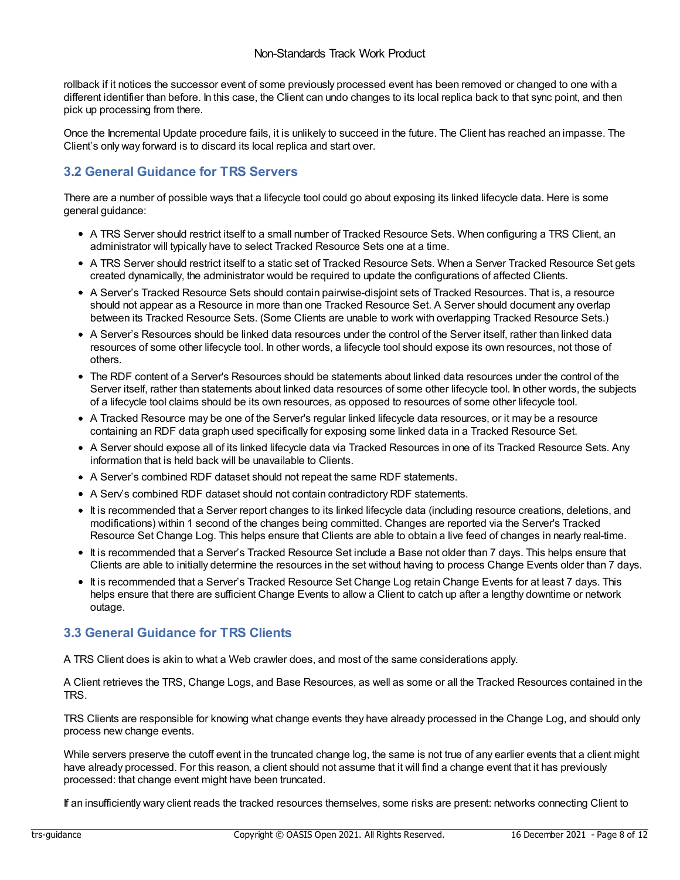rollback if it notices the successor event of some previously processed event has been removed or changed to one with a different identifier than before. In this case, the Client can undo changes to its local replica back to that sync point, and then pick up processing from there.

Once the Incremental Update procedure fails, it is unlikely to succeed in the future. The Client has reached an impasse. The Client's only way forward is to discard its local replica and start over.

### <span id="page-7-0"></span>**3.2 General Guidance for TRS Servers**

There are a number of possible ways that a lifecycle tool could go about exposing its linked lifecycle data. Here is some general guidance:

- A TRS Server should restrict itself to a small number of Tracked Resource Sets. When configuring a TRS Client, an administrator will typically have to select Tracked Resource Sets one at a time.
- A TRS Server should restrict itself to a static set of Tracked Resource Sets. When a Server Tracked Resource Set gets created dynamically, the administrator would be required to update the configurations of affected Clients.
- A Server's Tracked Resource Sets should contain pairwise-disjoint sets of Tracked Resources. That is, a resource should not appear as a Resource in more than one Tracked Resource Set. A Server should document any overlap between its Tracked Resource Sets. (Some Clients are unable to work with overlapping Tracked Resource Sets.)
- A Server's Resources should be linked data resources under the control of the Server itself, rather than linked data resources of some other lifecycle tool. In other words, a lifecycle tool should expose its own resources, not those of others.
- The RDF content of a Server's Resources should be statements about linked data resources under the control of the Server itself, rather than statements about linked data resources of some other lifecycle tool. In other words, the subjects of a lifecycle tool claims should be its own resources, as opposed to resources of some other lifecycle tool.
- A Tracked Resource may be one of the Server's regular linked lifecycle data resources, or it may be a resource containing an RDF data graph used specifically for exposing some linked data in a Tracked Resource Set.
- A Server should expose all of its linked lifecycle data via Tracked Resources in one of its Tracked Resource Sets. Any information that is held back will be unavailable to Clients.
- A Server's combined RDF dataset should not repeat the same RDF statements.
- A Serv's combined RDF dataset should not contain contradictory RDF statements.
- It is recommended that a Server report changes to its linked lifecycle data (including resource creations, deletions, and modifications) within 1 second of the changes being committed. Changes are reported via the Server's Tracked Resource Set Change Log. This helps ensure that Clients are able to obtain a live feed of changes in nearly real-time.
- It is recommended that a Server's Tracked Resource Set include a Base not older than 7 days. This helps ensure that Clients are able to initially determine the resources in the set without having to process Change Events older than 7 days.
- It is recommended that a Server's Tracked Resource Set Change Log retain Change Events for at least 7 days. This helps ensure that there are sufficient Change Events to allow a Client to catch up after a lengthy downtime or network outage.

### **3.3 General Guidance for TRS Clients**

A TRS Client does is akin to what a Web crawler does, and most of the same considerations apply.

A Client retrieves the TRS, Change Logs, and Base Resources, as well as some or all the Tracked Resources contained in the TRS.

TRS Clients are responsible for knowing what change events they have already processed in the Change Log, and should only process new change events.

While servers preserve the cutoff event in the truncated change log, the same is not true of any earlier events that a client might have already processed. For this reason, a client should not assume that it will find a change event that it has previously processed: that change event might have been truncated.

If an insufficiently wary client reads the tracked resources themselves, some risks are present: networks connecting Client to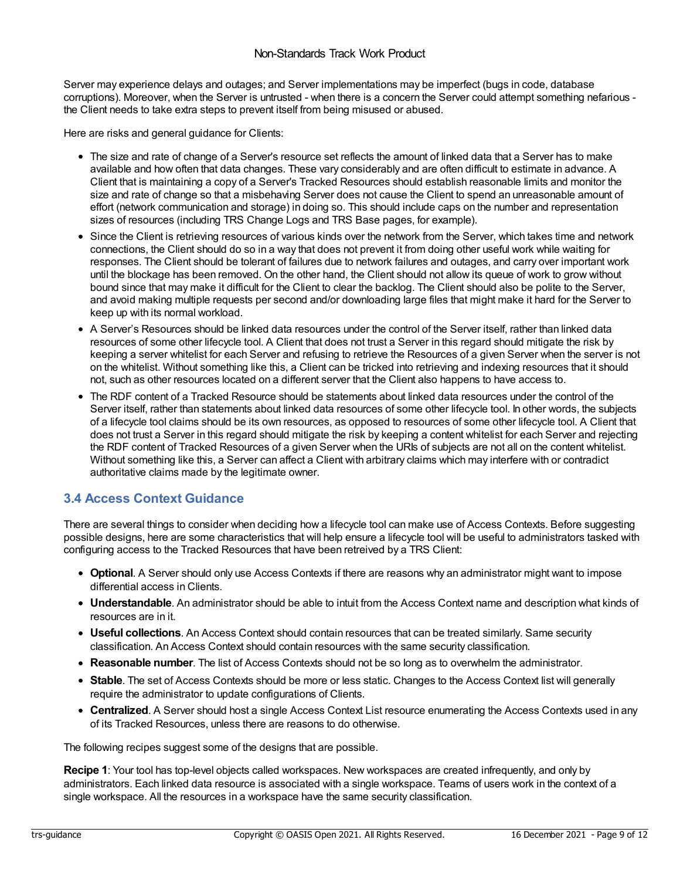<span id="page-8-1"></span><span id="page-8-0"></span>Server may experience delays and outages; and Server implementations may be imperfect (bugs in code, database corruptions). Moreover, when the Server is untrusted - when there is a concern the Server could attempt something nefarious the Client needs to take extra steps to prevent itself from being misused or abused.

Here are risks and general guidance for Clients:

- The size and rate of change of a Server's resource set reflects the amount of linked data that a Server has to make available and how often that data changes. These vary considerably and are often difficult to estimate in advance. A Client that is maintaining a copy of a Server's Tracked Resources should establish reasonable limits and monitor the size and rate of change so that a misbehaving Server does not cause the Client to spend an unreasonable amount of effort (network communication and storage) in doing so. This should include caps on the number and representation sizes of resources (including TRS Change Logs and TRS Base pages, for example).
- Since the Client is retrieving resources of various kinds over the network from the Server, which takes time and network connections, the Client should do so in a way that does not prevent it from doing other useful work while waiting for responses. The Client should be tolerant of failures due to network failures and outages, and carry over important work until the blockage has been removed. On the other hand, the Client should not allow its queue of work to grow without bound since that may make it difficult for the Client to clear the backlog. The Client should also be polite to the Server, and avoid making multiple requests per second and/or downloading large files that might make it hard for the Server to keep up with its normal workload.
- A Server's Resources should be linked data resources under the control of the Server itself, rather than linked data resources of some other lifecycle tool. A Client that does not trust a Server in this regard should mitigate the risk by keeping a server whitelist for each Server and refusing to retrieve the Resources of a given Server when the server is not on the whitelist. Without something like this, a Client can be tricked into retrieving and indexing resources that it should not, such as other resources located on a different server that the Client also happens to have access to.
- The RDF content of a Tracked Resource should be statements about linked data resources under the control of the Server itself, rather than statements about linked data resources of some other lifecycle tool. In other words, the subjects of a lifecycle tool claims should be its own resources, as opposed to resources of some other lifecycle tool. A Client that does not trust a Server in this regard should mitigate the risk by keeping a content whitelist for each Server and rejecting the RDF content of Tracked Resources of a given Server when the URIs of subjects are not all on the content whitelist. Without something like this, a Server can affect a Client with arbitrary claims which may interfere with or contradict authoritative claims made by the legitimate owner.

### **3.4 Access Context Guidance**

There are several things to consider when deciding how a lifecycle tool can make use of Access Contexts. Before suggesting possible designs, here are some characteristics that will help ensure a lifecycle tool will be useful to administrators tasked with configuring access to the Tracked Resources that have been retreived by a TRS Client:

- **Optional**. A Server should only use Access Contexts if there are reasons why an administrator might want to impose differential access in Clients.
- **Understandable**. An administrator should be able to intuit from the Access Context name and description what kinds of resources are in it.
- **Useful collections**. An Access Context should contain resources that can be treated similarly. Same security classification. An Access Context should contain resources with the same security classification.
- **Reasonable number**. The list of Access Contexts should not be so long as to overwhelm the administrator.
- **Stable**. The set of Access Contexts should be more or less static. Changes to the Access Context list will generally require the administrator to update configurations of Clients.
- **Centralized**. A Server should host a single Access Context List resource enumerating the Access Contexts used in any of its Tracked Resources, unless there are reasons to do otherwise.

The following recipes suggest some of the designs that are possible.

**Recipe 1**: Your tool has top-level objects called workspaces. New workspaces are created infrequently, and only by administrators. Each linked data resource is associated with a single workspace. Teams of users work in the context of a single workspace. All the resources in a workspace have the same security classification.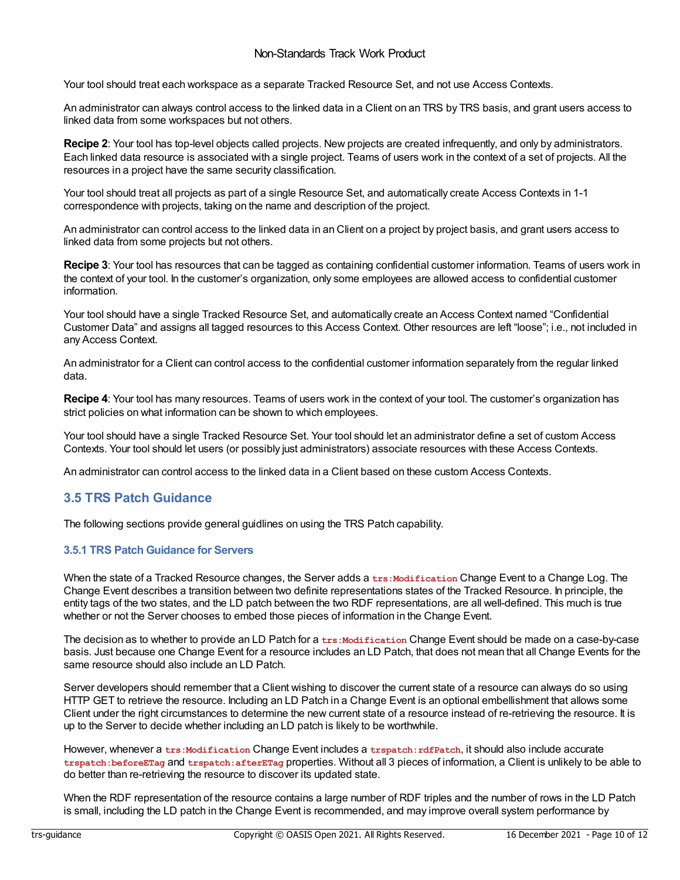<span id="page-9-0"></span>Your tool should treat each workspace as a separate Tracked Resource Set, and not use Access Contexts.

An administrator can always control access to the linked data in a Client on an TRS by TRS basis, and grant users access to linked data from some workspaces but not others.

**Recipe 2**: Your tool has top-level objects called projects. New projects are created infrequently, and only by administrators. Each linked data resource is associated with a single project. Teams of users work in the context of a set of projects. All the resources in a project have the same security classification.

Your tool should treat all projects as part of a single Resource Set, and automatically create Access Contexts in 1-1 correspondence with projects, taking on the name and description of the project.

An administrator can control access to the linked data in an Client on a project by project basis, and grant users access to linked data from some projects but not others.

**Recipe 3**: Your tool has resources that can be tagged as containing confidential customer information. Teams of users work in the context of your tool. In the customer's organization, only some employees are allowed access to confidential customer information.

Your tool should have a single Tracked Resource Set, and automatically create an Access Context named "Confidential Customer Data" and assigns all tagged resources to this Access Context. Other resources are left "loose"; i.e., not included in any Access Context.

An administrator for a Client can control access to the confidential customer information separately from the regular linked data.

**Recipe 4**: Your tool has many resources. Teams of users work in the context of your tool. The customer's organization has strict policies on what information can be shown to which employees.

Your tool should have a single Tracked Resource Set. Your tool should let an administrator define a set of custom Access Contexts. Your tool should let users (or possibly just administrators) associate resources with these Access Contexts.

An administrator can control access to the linked data in a Client based on these custom Access Contexts.

### **3.5 TRS Patch Guidance**

The following sections provide general guidlines on using the TRS Patch capability.

#### <span id="page-9-1"></span>**3.5.1 TRS Patch Guidance for Servers**

When the state of a Tracked Resource changes, the Server adds a trs:Modification Change Event to a Change Log. The Change Event describes a transition between two definite representations states of the Tracked Resource. In principle, the entity tags of the two states, and the LD patch between the two RDF representations, are all well-defined. This much is true whether or not the Server chooses to embed those pieces of information in the Change Event.

The decision as to whether to provide an LD Patch for a trs:Modification Change Event should be made on a case-by-case basis. Just because one Change Event for a resource includes an LD Patch, that does not mean that all Change Events for the same resource should also include an LD Patch.

Server developers should remember that a Client wishing to discover the current state of a resource can always do so using HTTP GET to retrieve the resource. Including an LD Patch in a Change Event is an optional embellishment that allows some Client under the right circumstances to determine the new current state of a resource instead of re-retrieving the resource. It is up to the Server to decide whether including an LD patch is likely to be worthwhile.

However, whenever a **trs:Modification** Change Event includes a **trspatch:rdfPatch**, it should also include accurate **trspatch:beforeETag** and **trspatch:afterETag** properties. Without all 3 pieces of information, a Client is unlikely to be able to do better than re-retrieving the resource to discover its updated state.

When the RDF representation of the resource contains a large number of RDF triples and the number of rows in the LD Patch is small, including the LD patch in the Change Event is recommended, and may improve overall system performance by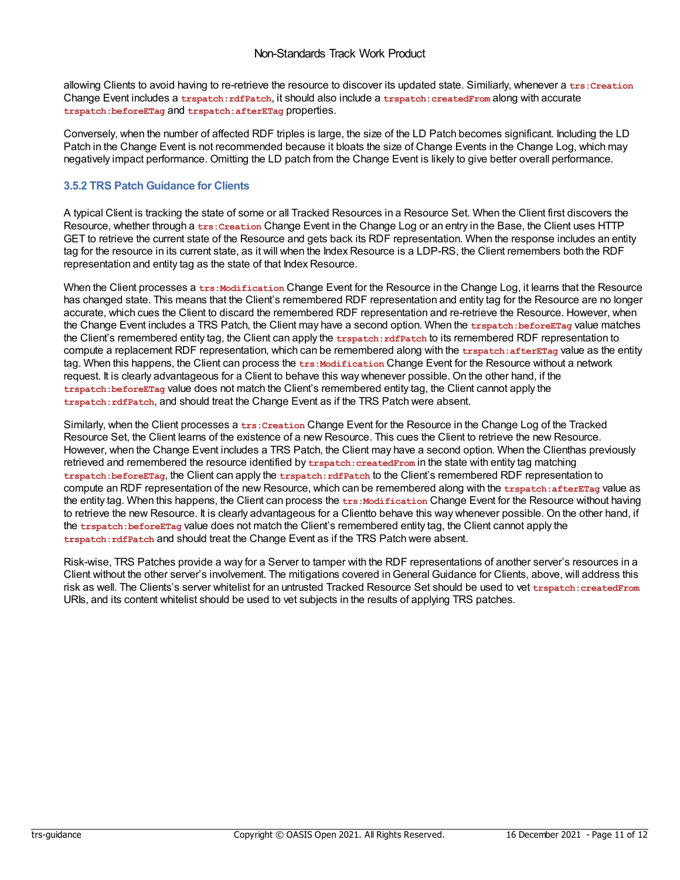<span id="page-10-0"></span>allowing Clients to avoid having to re-retrieve the resource to discover its updated state. Similiarly, whenever a trs: Creation Change Event includes a **trspatch:rdfPatch**, it should also include a **trspatch:createdFrom** along with accurate **trspatch:beforeETag** and **trspatch:afterETag** properties.

Conversely, when the number of affected RDF triples is large, the size of the LD Patch becomes significant. Including the LD Patch in the Change Event is not recommended because it bloats the size of Change Events in the Change Log, which may negatively impact performance. Omitting the LD patch from the Change Event is likely to give better overall performance.

#### <span id="page-10-1"></span>**3.5.2 TRS Patch Guidance for Clients**

A typical Client is tracking the state of some or all Tracked Resources in a Resource Set. When the Client first discovers the Resource, whether through a **trs:Creation** Change Event in the Change Log or an entry in the Base, the Client uses HTTP GET to retrieve the current state of the Resource and gets back its RDF representation. When the response includes an entity tag for the resource in its current state, as it will when the Index Resource is a LDP-RS, the Client remembers both the RDF representation and entity tag as the state of that Index Resource.

When the Client processes a trs: Modification Change Event for the Resource in the Change Log, it learns that the Resource has changed state. This means that the Client's remembered RDF representation and entity tag for the Resource are no longer accurate, which cues the Client to discard the remembered RDF representation and re-retrieve the Resource. However, when the Change Event includes a TRS Patch, the Client may have a second option. When the **trspatch:beforeETag** value matches the Client's remembered entity tag, the Client can apply the **trspatch:rdfPatch** to its remembered RDF representation to compute a replacement RDF representation, which can be remembered along with the **trspatch:afterETag** value as the entity tag. When this happens, the Client can process the **trs:Modification** Change Event for the Resource without a network request. It is clearly advantageous for a Client to behave this way whenever possible. On the other hand, if the **trspatch:beforeETag** value does not match the Client's remembered entity tag, the Client cannot apply the **trspatch:rdfPatch**, and should treat the Change Event as if the TRS Patch were absent.

Similarly, when the Client processes a **trs:Creation** Change Event for the Resource in the Change Log of the Tracked Resource Set, the Client learns of the existence of a new Resource. This cues the Client to retrieve the new Resource. However, when the Change Event includes a TRS Patch, the Client may have a second option. When the Clienthas previously retrieved and remembered the resource identified by trspatch: createdFrom in the state with entity tag matching **trspatch:beforeETag**, the Client can apply the **trspatch:rdfPatch** to the Client's remembered RDF representation to compute an RDF representation of the new Resource, which can be remembered along with the **trspatch:afterETag** value as the entity tag. When this happens, the Client can process the trs:Modification Change Event for the Resource without having to retrieve the new Resource. It is clearly advantageous for a Clientto behave this way whenever possible. On the other hand, if the **trspatch:beforeETag** value does not match the Client's remembered entity tag, the Client cannot apply the **trspatch:rdfPatch** and should treat the Change Event as if the TRS Patch were absent.

Risk-wise, TRS Patches provide a way for a Server to tamper with the RDF representations of another server's resources in a Client without the other server's involvement. The mitigations covered inGeneral Guidance for Clients, above, will address this risk as well. The Clients's server whitelist for an untrusted Tracked Resource Set should be used to vet **trspatch:createdFrom** URIs, and its content whitelist should be used to vet subjects in the results of applying TRS patches.